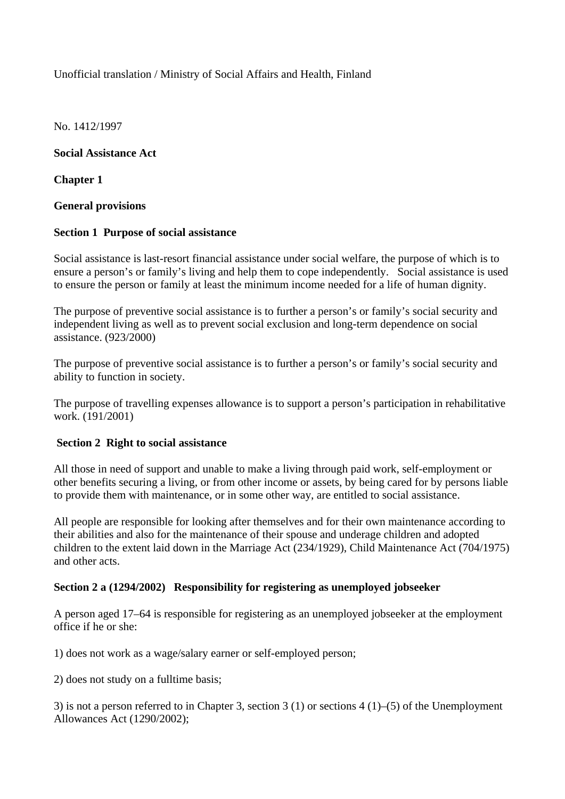# Unofficial translation / Ministry of Social Affairs and Health, Finland

No. 1412/1997

## **Social Assistance Act**

**Chapter 1** 

## **General provisions**

## **Section 1 Purpose of social assistance**

Social assistance is last-resort financial assistance under social welfare, the purpose of which is to ensure a person's or family's living and help them to cope independently. Social assistance is used to ensure the person or family at least the minimum income needed for a life of human dignity.

The purpose of preventive social assistance is to further a person's or family's social security and independent living as well as to prevent social exclusion and long-term dependence on social assistance. (923/2000)

The purpose of preventive social assistance is to further a person's or family's social security and ability to function in society.

The purpose of travelling expenses allowance is to support a person's participation in rehabilitative work. (191/2001)

## **Section 2 Right to social assistance**

All those in need of support and unable to make a living through paid work, self-employment or other benefits securing a living, or from other income or assets, by being cared for by persons liable to provide them with maintenance, or in some other way, are entitled to social assistance.

All people are responsible for looking after themselves and for their own maintenance according to their abilities and also for the maintenance of their spouse and underage children and adopted children to the extent laid down in the Marriage Act (234/1929), Child Maintenance Act (704/1975) and other acts.

#### **Section 2 a (1294/2002) Responsibility for registering as unemployed jobseeker**

A person aged 17–64 is responsible for registering as an unemployed jobseeker at the employment office if he or she:

1) does not work as a wage/salary earner or self-employed person;

2) does not study on a fulltime basis;

3) is not a person referred to in Chapter 3, section 3 (1) or sections 4 (1)–(5) of the Unemployment Allowances Act (1290/2002);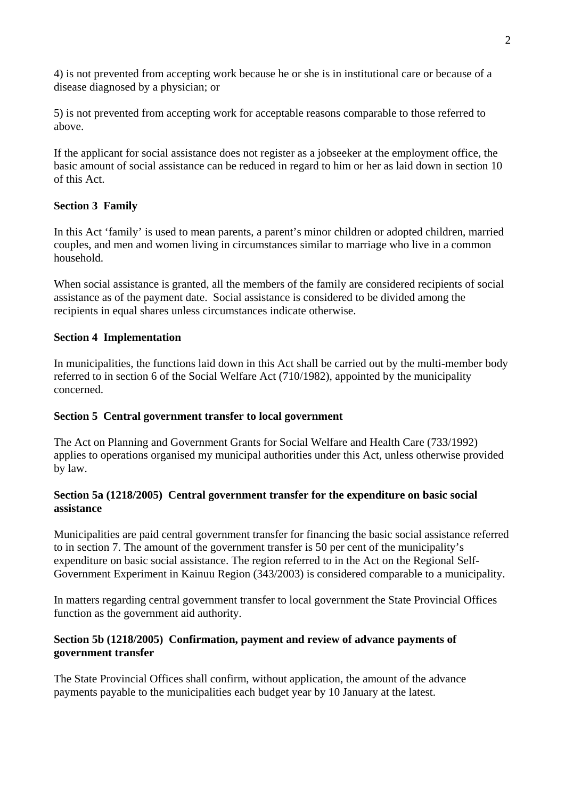4) is not prevented from accepting work because he or she is in institutional care or because of a disease diagnosed by a physician; or

5) is not prevented from accepting work for acceptable reasons comparable to those referred to above.

If the applicant for social assistance does not register as a jobseeker at the employment office, the basic amount of social assistance can be reduced in regard to him or her as laid down in section 10 of this Act.

# **Section 3 Family**

In this Act 'family' is used to mean parents, a parent's minor children or adopted children, married couples, and men and women living in circumstances similar to marriage who live in a common household.

When social assistance is granted, all the members of the family are considered recipients of social assistance as of the payment date. Social assistance is considered to be divided among the recipients in equal shares unless circumstances indicate otherwise.

# **Section 4 Implementation**

In municipalities, the functions laid down in this Act shall be carried out by the multi-member body referred to in section 6 of the Social Welfare Act (710/1982), appointed by the municipality concerned.

# **Section 5 Central government transfer to local government**

The Act on Planning and Government Grants for Social Welfare and Health Care (733/1992) applies to operations organised my municipal authorities under this Act, unless otherwise provided by law.

## **Section 5a (1218/2005) Central government transfer for the expenditure on basic social assistance**

Municipalities are paid central government transfer for financing the basic social assistance referred to in section 7. The amount of the government transfer is 50 per cent of the municipality's expenditure on basic social assistance. The region referred to in the Act on the Regional Self-Government Experiment in Kainuu Region (343/2003) is considered comparable to a municipality.

In matters regarding central government transfer to local government the State Provincial Offices function as the government aid authority.

## **Section 5b (1218/2005) Confirmation, payment and review of advance payments of government transfer**

The State Provincial Offices shall confirm, without application, the amount of the advance payments payable to the municipalities each budget year by 10 January at the latest.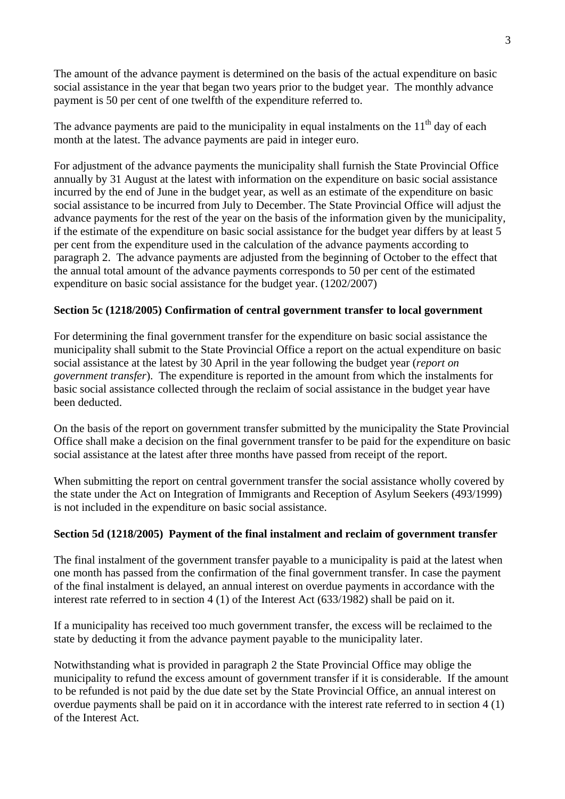The amount of the advance payment is determined on the basis of the actual expenditure on basic social assistance in the year that began two years prior to the budget year. The monthly advance payment is 50 per cent of one twelfth of the expenditure referred to.

The advance payments are paid to the municipality in equal instalments on the  $11<sup>th</sup>$  day of each month at the latest. The advance payments are paid in integer euro.

For adjustment of the advance payments the municipality shall furnish the State Provincial Office annually by 31 August at the latest with information on the expenditure on basic social assistance incurred by the end of June in the budget year, as well as an estimate of the expenditure on basic social assistance to be incurred from July to December. The State Provincial Office will adjust the advance payments for the rest of the year on the basis of the information given by the municipality, if the estimate of the expenditure on basic social assistance for the budget year differs by at least 5 per cent from the expenditure used in the calculation of the advance payments according to paragraph 2. The advance payments are adjusted from the beginning of October to the effect that the annual total amount of the advance payments corresponds to 50 per cent of the estimated expenditure on basic social assistance for the budget year. (1202/2007)

## **Section 5c (1218/2005) Confirmation of central government transfer to local government**

For determining the final government transfer for the expenditure on basic social assistance the municipality shall submit to the State Provincial Office a report on the actual expenditure on basic social assistance at the latest by 30 April in the year following the budget year (*report on government transfer*). The expenditure is reported in the amount from which the instalments for basic social assistance collected through the reclaim of social assistance in the budget year have been deducted.

On the basis of the report on government transfer submitted by the municipality the State Provincial Office shall make a decision on the final government transfer to be paid for the expenditure on basic social assistance at the latest after three months have passed from receipt of the report.

When submitting the report on central government transfer the social assistance wholly covered by the state under the Act on Integration of Immigrants and Reception of Asylum Seekers (493/1999) is not included in the expenditure on basic social assistance.

#### **Section 5d (1218/2005) Payment of the final instalment and reclaim of government transfer**

The final instalment of the government transfer payable to a municipality is paid at the latest when one month has passed from the confirmation of the final government transfer. In case the payment of the final instalment is delayed, an annual interest on overdue payments in accordance with the interest rate referred to in section 4 (1) of the Interest Act (633/1982) shall be paid on it.

If a municipality has received too much government transfer, the excess will be reclaimed to the state by deducting it from the advance payment payable to the municipality later.

Notwithstanding what is provided in paragraph 2 the State Provincial Office may oblige the municipality to refund the excess amount of government transfer if it is considerable. If the amount to be refunded is not paid by the due date set by the State Provincial Office, an annual interest on overdue payments shall be paid on it in accordance with the interest rate referred to in section 4 (1) of the Interest Act.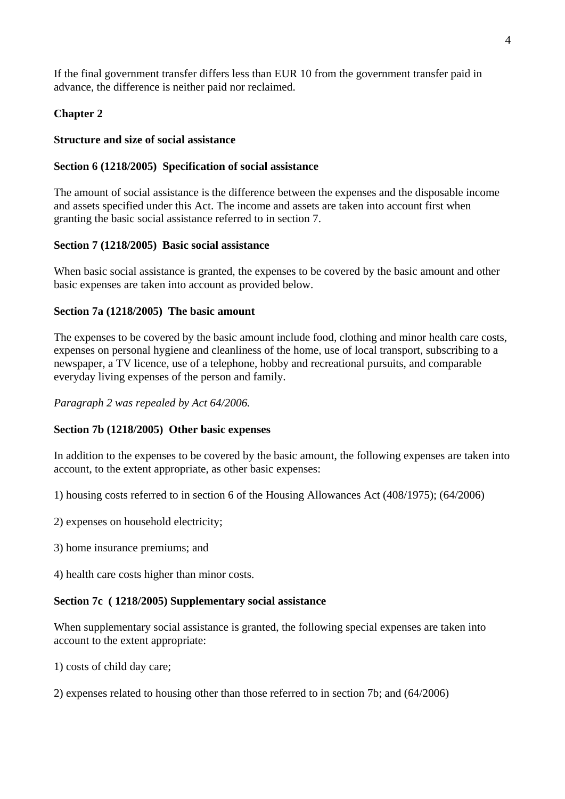If the final government transfer differs less than EUR 10 from the government transfer paid in advance, the difference is neither paid nor reclaimed.

# **Chapter 2**

#### **Structure and size of social assistance**

## **Section 6 (1218/2005) Specification of social assistance**

The amount of social assistance is the difference between the expenses and the disposable income and assets specified under this Act. The income and assets are taken into account first when granting the basic social assistance referred to in section 7.

## **Section 7 (1218/2005) Basic social assistance**

When basic social assistance is granted, the expenses to be covered by the basic amount and other basic expenses are taken into account as provided below.

## **Section 7a (1218/2005) The basic amount**

The expenses to be covered by the basic amount include food, clothing and minor health care costs, expenses on personal hygiene and cleanliness of the home, use of local transport, subscribing to a newspaper, a TV licence, use of a telephone, hobby and recreational pursuits, and comparable everyday living expenses of the person and family.

*Paragraph 2 was repealed by Act 64/2006.*

# **Section 7b (1218/2005) Other basic expenses**

In addition to the expenses to be covered by the basic amount, the following expenses are taken into account, to the extent appropriate, as other basic expenses:

1) housing costs referred to in section 6 of the Housing Allowances Act (408/1975); (64/2006)

- 2) expenses on household electricity;
- 3) home insurance premiums; and
- 4) health care costs higher than minor costs.

#### **Section 7c ( 1218/2005) Supplementary social assistance**

When supplementary social assistance is granted, the following special expenses are taken into account to the extent appropriate:

1) costs of child day care;

2) expenses related to housing other than those referred to in section 7b; and (64/2006)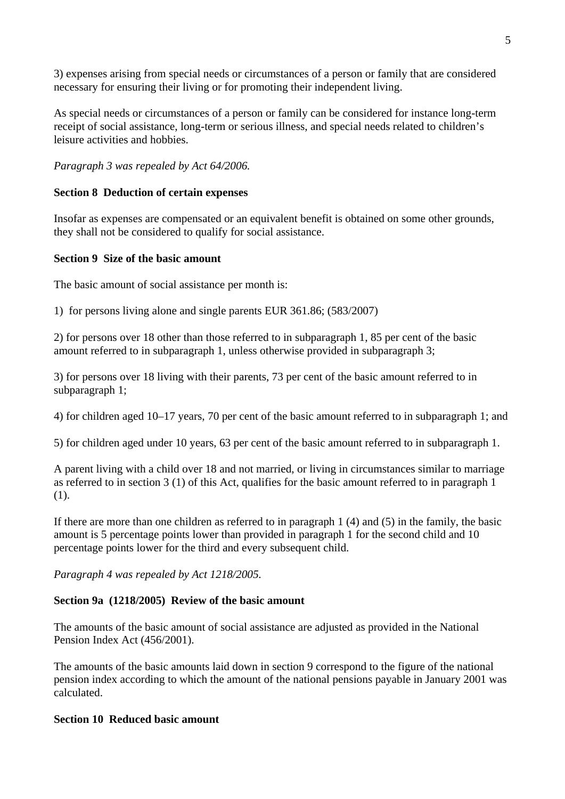3) expenses arising from special needs or circumstances of a person or family that are considered necessary for ensuring their living or for promoting their independent living.

As special needs or circumstances of a person or family can be considered for instance long-term receipt of social assistance, long-term or serious illness, and special needs related to children's leisure activities and hobbies.

*Paragraph 3 was repealed by Act 64/2006.*

# **Section 8 Deduction of certain expenses**

Insofar as expenses are compensated or an equivalent benefit is obtained on some other grounds, they shall not be considered to qualify for social assistance.

## **Section 9 Size of the basic amount**

The basic amount of social assistance per month is:

1) for persons living alone and single parents EUR 361.86; (583/2007)

2) for persons over 18 other than those referred to in subparagraph 1, 85 per cent of the basic amount referred to in subparagraph 1, unless otherwise provided in subparagraph 3;

3) for persons over 18 living with their parents, 73 per cent of the basic amount referred to in subparagraph 1;

4) for children aged 10–17 years, 70 per cent of the basic amount referred to in subparagraph 1; and

5) for children aged under 10 years, 63 per cent of the basic amount referred to in subparagraph 1.

A parent living with a child over 18 and not married, or living in circumstances similar to marriage as referred to in section 3 (1) of this Act, qualifies for the basic amount referred to in paragraph 1 (1).

If there are more than one children as referred to in paragraph 1 (4) and (5) in the family, the basic amount is 5 percentage points lower than provided in paragraph 1 for the second child and 10 percentage points lower for the third and every subsequent child.

*Paragraph 4 was repealed by Act 1218/2005.* 

# **Section 9a (1218/2005) Review of the basic amount**

The amounts of the basic amount of social assistance are adjusted as provided in the National Pension Index Act (456/2001).

The amounts of the basic amounts laid down in section 9 correspond to the figure of the national pension index according to which the amount of the national pensions payable in January 2001 was calculated.

# **Section 10 Reduced basic amount**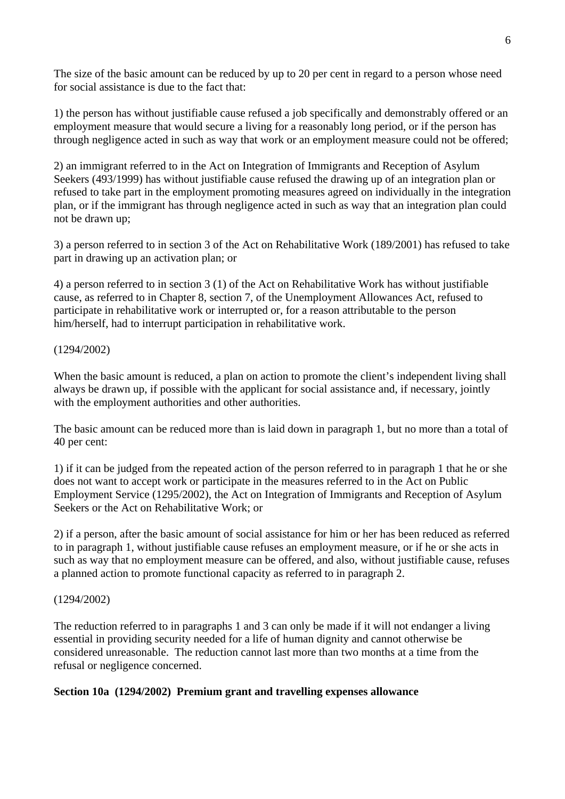The size of the basic amount can be reduced by up to 20 per cent in regard to a person whose need for social assistance is due to the fact that:

1) the person has without justifiable cause refused a job specifically and demonstrably offered or an employment measure that would secure a living for a reasonably long period, or if the person has through negligence acted in such as way that work or an employment measure could not be offered;

2) an immigrant referred to in the Act on Integration of Immigrants and Reception of Asylum Seekers (493/1999) has without justifiable cause refused the drawing up of an integration plan or refused to take part in the employment promoting measures agreed on individually in the integration plan, or if the immigrant has through negligence acted in such as way that an integration plan could not be drawn up;

3) a person referred to in section 3 of the Act on Rehabilitative Work (189/2001) has refused to take part in drawing up an activation plan; or

4) a person referred to in section 3 (1) of the Act on Rehabilitative Work has without justifiable cause, as referred to in Chapter 8, section 7, of the Unemployment Allowances Act, refused to participate in rehabilitative work or interrupted or, for a reason attributable to the person him/herself, had to interrupt participation in rehabilitative work.

## (1294/2002)

When the basic amount is reduced, a plan on action to promote the client's independent living shall always be drawn up, if possible with the applicant for social assistance and, if necessary, jointly with the employment authorities and other authorities.

The basic amount can be reduced more than is laid down in paragraph 1, but no more than a total of 40 per cent:

1) if it can be judged from the repeated action of the person referred to in paragraph 1 that he or she does not want to accept work or participate in the measures referred to in the Act on Public Employment Service (1295/2002), the Act on Integration of Immigrants and Reception of Asylum Seekers or the Act on Rehabilitative Work; or

2) if a person, after the basic amount of social assistance for him or her has been reduced as referred to in paragraph 1, without justifiable cause refuses an employment measure, or if he or she acts in such as way that no employment measure can be offered, and also, without justifiable cause, refuses a planned action to promote functional capacity as referred to in paragraph 2.

#### (1294/2002)

The reduction referred to in paragraphs 1 and 3 can only be made if it will not endanger a living essential in providing security needed for a life of human dignity and cannot otherwise be considered unreasonable. The reduction cannot last more than two months at a time from the refusal or negligence concerned.

#### **Section 10a (1294/2002) Premium grant and travelling expenses allowance**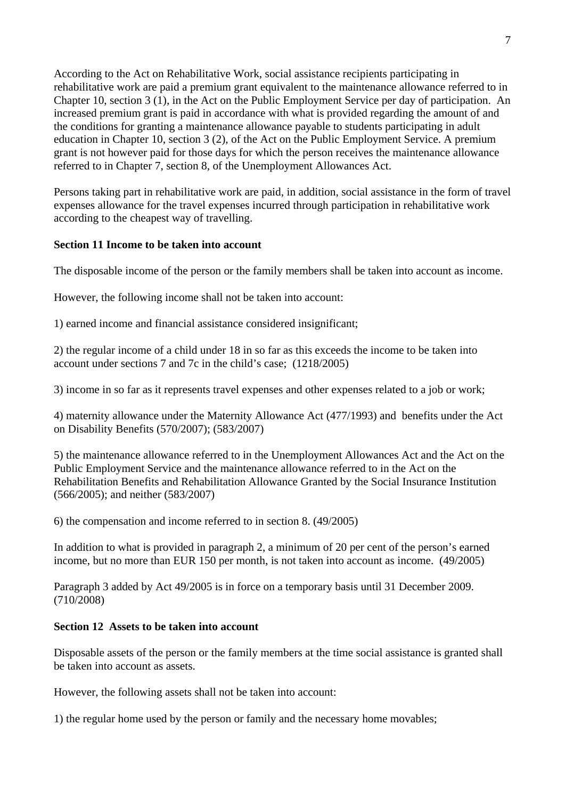According to the Act on Rehabilitative Work, social assistance recipients participating in rehabilitative work are paid a premium grant equivalent to the maintenance allowance referred to in Chapter 10, section 3 (1), in the Act on the Public Employment Service per day of participation. An increased premium grant is paid in accordance with what is provided regarding the amount of and the conditions for granting a maintenance allowance payable to students participating in adult education in Chapter 10, section 3 (2), of the Act on the Public Employment Service. A premium grant is not however paid for those days for which the person receives the maintenance allowance referred to in Chapter 7, section 8, of the Unemployment Allowances Act.

Persons taking part in rehabilitative work are paid, in addition, social assistance in the form of travel expenses allowance for the travel expenses incurred through participation in rehabilitative work according to the cheapest way of travelling.

# **Section 11 Income to be taken into account**

The disposable income of the person or the family members shall be taken into account as income.

However, the following income shall not be taken into account:

1) earned income and financial assistance considered insignificant;

2) the regular income of a child under 18 in so far as this exceeds the income to be taken into account under sections 7 and 7c in the child's case; (1218/2005)

3) income in so far as it represents travel expenses and other expenses related to a job or work;

4) maternity allowance under the Maternity Allowance Act (477/1993) and benefits under the Act on Disability Benefits (570/2007); (583/2007)

5) the maintenance allowance referred to in the Unemployment Allowances Act and the Act on the Public Employment Service and the maintenance allowance referred to in the Act on the Rehabilitation Benefits and Rehabilitation Allowance Granted by the Social Insurance Institution (566/2005); and neither (583/2007)

6) the compensation and income referred to in section 8. (49/2005)

In addition to what is provided in paragraph 2, a minimum of 20 per cent of the person's earned income, but no more than EUR 150 per month, is not taken into account as income. (49/2005)

Paragraph 3 added by Act 49/2005 is in force on a temporary basis until 31 December 2009. (710/2008)

#### **Section 12 Assets to be taken into account**

Disposable assets of the person or the family members at the time social assistance is granted shall be taken into account as assets.

However, the following assets shall not be taken into account:

1) the regular home used by the person or family and the necessary home movables;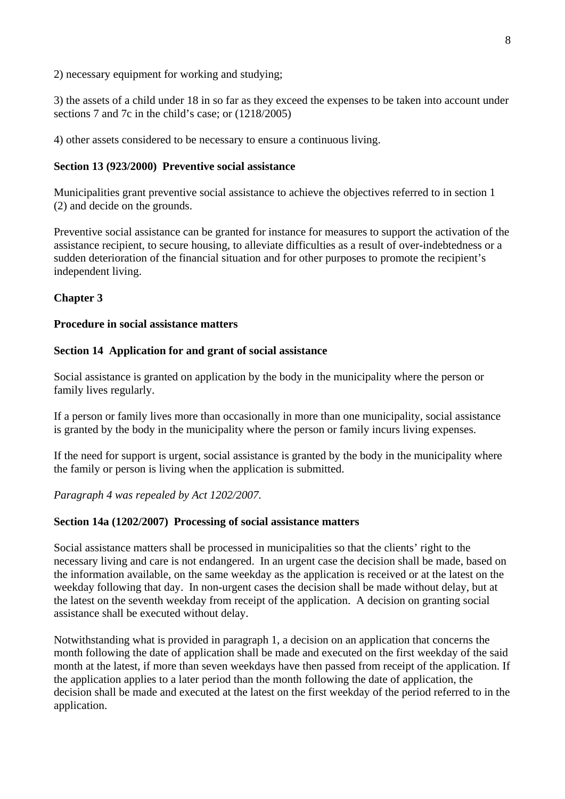2) necessary equipment for working and studying;

3) the assets of a child under 18 in so far as they exceed the expenses to be taken into account under sections 7 and 7c in the child's case; or (1218/2005)

4) other assets considered to be necessary to ensure a continuous living.

## **Section 13 (923/2000) Preventive social assistance**

Municipalities grant preventive social assistance to achieve the objectives referred to in section 1 (2) and decide on the grounds.

Preventive social assistance can be granted for instance for measures to support the activation of the assistance recipient, to secure housing, to alleviate difficulties as a result of over-indebtedness or a sudden deterioration of the financial situation and for other purposes to promote the recipient's independent living.

# **Chapter 3**

## **Procedure in social assistance matters**

## **Section 14 Application for and grant of social assistance**

Social assistance is granted on application by the body in the municipality where the person or family lives regularly.

If a person or family lives more than occasionally in more than one municipality, social assistance is granted by the body in the municipality where the person or family incurs living expenses.

If the need for support is urgent, social assistance is granted by the body in the municipality where the family or person is living when the application is submitted.

*Paragraph 4 was repealed by Act 1202/2007.*

#### **Section 14a (1202/2007) Processing of social assistance matters**

Social assistance matters shall be processed in municipalities so that the clients' right to the necessary living and care is not endangered. In an urgent case the decision shall be made, based on the information available, on the same weekday as the application is received or at the latest on the weekday following that day. In non-urgent cases the decision shall be made without delay, but at the latest on the seventh weekday from receipt of the application. A decision on granting social assistance shall be executed without delay.

Notwithstanding what is provided in paragraph 1, a decision on an application that concerns the month following the date of application shall be made and executed on the first weekday of the said month at the latest, if more than seven weekdays have then passed from receipt of the application. If the application applies to a later period than the month following the date of application, the decision shall be made and executed at the latest on the first weekday of the period referred to in the application.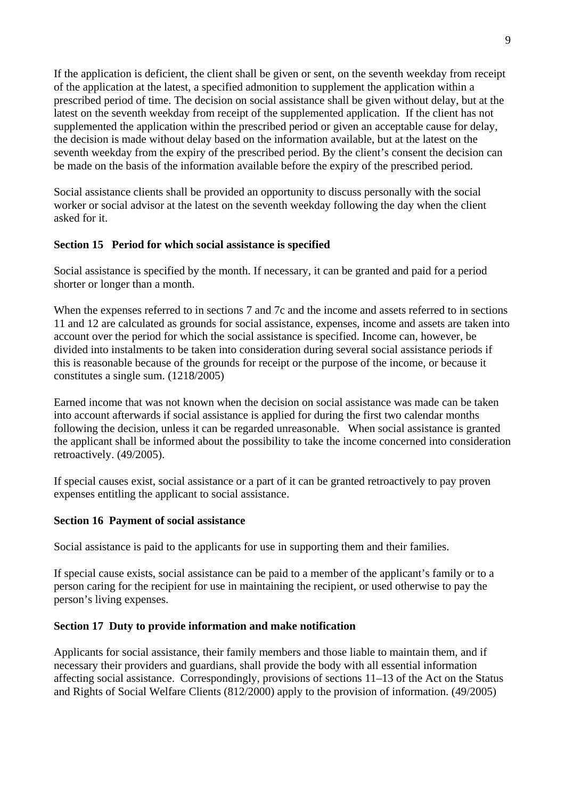If the application is deficient, the client shall be given or sent, on the seventh weekday from receipt of the application at the latest, a specified admonition to supplement the application within a prescribed period of time. The decision on social assistance shall be given without delay, but at the latest on the seventh weekday from receipt of the supplemented application. If the client has not supplemented the application within the prescribed period or given an acceptable cause for delay, the decision is made without delay based on the information available, but at the latest on the seventh weekday from the expiry of the prescribed period. By the client's consent the decision can be made on the basis of the information available before the expiry of the prescribed period.

Social assistance clients shall be provided an opportunity to discuss personally with the social worker or social advisor at the latest on the seventh weekday following the day when the client asked for it.

# **Section 15 Period for which social assistance is specified**

Social assistance is specified by the month. If necessary, it can be granted and paid for a period shorter or longer than a month.

When the expenses referred to in sections 7 and 7c and the income and assets referred to in sections 11 and 12 are calculated as grounds for social assistance, expenses, income and assets are taken into account over the period for which the social assistance is specified. Income can, however, be divided into instalments to be taken into consideration during several social assistance periods if this is reasonable because of the grounds for receipt or the purpose of the income, or because it constitutes a single sum. (1218/2005)

Earned income that was not known when the decision on social assistance was made can be taken into account afterwards if social assistance is applied for during the first two calendar months following the decision, unless it can be regarded unreasonable. When social assistance is granted the applicant shall be informed about the possibility to take the income concerned into consideration retroactively. (49/2005).

If special causes exist, social assistance or a part of it can be granted retroactively to pay proven expenses entitling the applicant to social assistance.

# **Section 16 Payment of social assistance**

Social assistance is paid to the applicants for use in supporting them and their families.

If special cause exists, social assistance can be paid to a member of the applicant's family or to a person caring for the recipient for use in maintaining the recipient, or used otherwise to pay the person's living expenses.

#### **Section 17 Duty to provide information and make notification**

Applicants for social assistance, their family members and those liable to maintain them, and if necessary their providers and guardians, shall provide the body with all essential information affecting social assistance. Correspondingly, provisions of sections 11–13 of the Act on the Status and Rights of Social Welfare Clients (812/2000) apply to the provision of information. (49/2005)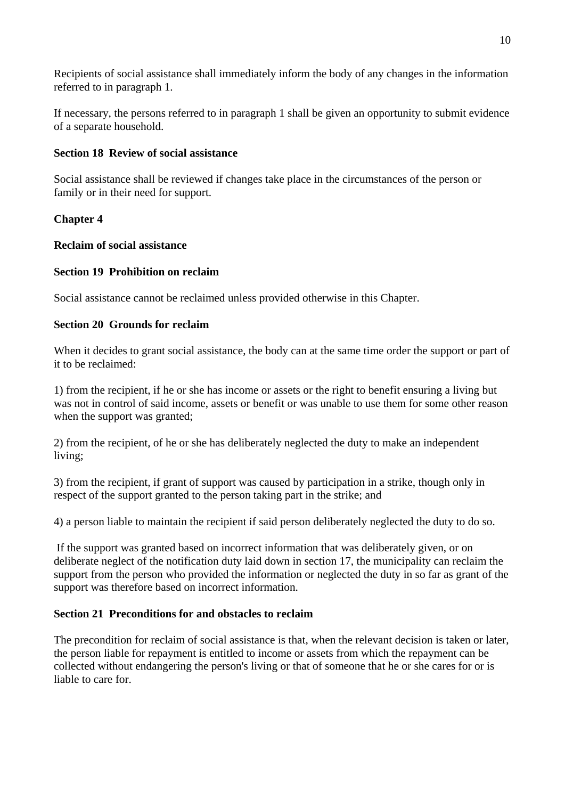Recipients of social assistance shall immediately inform the body of any changes in the information referred to in paragraph 1.

If necessary, the persons referred to in paragraph 1 shall be given an opportunity to submit evidence of a separate household.

# **Section 18 Review of social assistance**

Social assistance shall be reviewed if changes take place in the circumstances of the person or family or in their need for support.

# **Chapter 4**

## **Reclaim of social assistance**

# **Section 19 Prohibition on reclaim**

Social assistance cannot be reclaimed unless provided otherwise in this Chapter.

## **Section 20 Grounds for reclaim**

When it decides to grant social assistance, the body can at the same time order the support or part of it to be reclaimed:

1) from the recipient, if he or she has income or assets or the right to benefit ensuring a living but was not in control of said income, assets or benefit or was unable to use them for some other reason when the support was granted:

2) from the recipient, of he or she has deliberately neglected the duty to make an independent living;

3) from the recipient, if grant of support was caused by participation in a strike, though only in respect of the support granted to the person taking part in the strike; and

4) a person liable to maintain the recipient if said person deliberately neglected the duty to do so.

 If the support was granted based on incorrect information that was deliberately given, or on deliberate neglect of the notification duty laid down in section 17, the municipality can reclaim the support from the person who provided the information or neglected the duty in so far as grant of the support was therefore based on incorrect information.

# **Section 21 Preconditions for and obstacles to reclaim**

The precondition for reclaim of social assistance is that, when the relevant decision is taken or later, the person liable for repayment is entitled to income or assets from which the repayment can be collected without endangering the person's living or that of someone that he or she cares for or is liable to care for.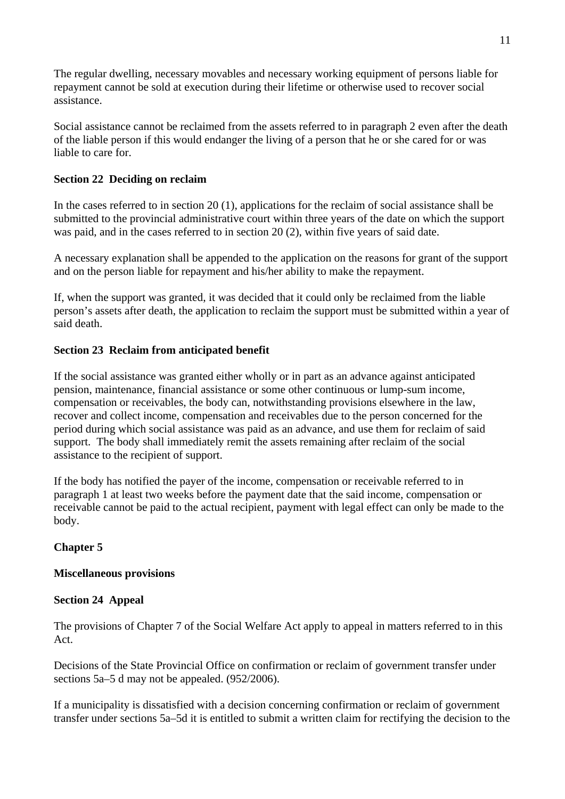The regular dwelling, necessary movables and necessary working equipment of persons liable for repayment cannot be sold at execution during their lifetime or otherwise used to recover social assistance.

Social assistance cannot be reclaimed from the assets referred to in paragraph 2 even after the death of the liable person if this would endanger the living of a person that he or she cared for or was liable to care for.

# **Section 22 Deciding on reclaim**

In the cases referred to in section 20 (1), applications for the reclaim of social assistance shall be submitted to the provincial administrative court within three years of the date on which the support was paid, and in the cases referred to in section 20 (2), within five years of said date.

A necessary explanation shall be appended to the application on the reasons for grant of the support and on the person liable for repayment and his/her ability to make the repayment.

If, when the support was granted, it was decided that it could only be reclaimed from the liable person's assets after death, the application to reclaim the support must be submitted within a year of said death.

# **Section 23 Reclaim from anticipated benefit**

If the social assistance was granted either wholly or in part as an advance against anticipated pension, maintenance, financial assistance or some other continuous or lump-sum income, compensation or receivables, the body can, notwithstanding provisions elsewhere in the law, recover and collect income, compensation and receivables due to the person concerned for the period during which social assistance was paid as an advance, and use them for reclaim of said support. The body shall immediately remit the assets remaining after reclaim of the social assistance to the recipient of support.

If the body has notified the payer of the income, compensation or receivable referred to in paragraph 1 at least two weeks before the payment date that the said income, compensation or receivable cannot be paid to the actual recipient, payment with legal effect can only be made to the body.

# **Chapter 5**

# **Miscellaneous provisions**

# **Section 24 Appeal**

The provisions of Chapter 7 of the Social Welfare Act apply to appeal in matters referred to in this Act.

Decisions of the State Provincial Office on confirmation or reclaim of government transfer under sections 5a–5 d may not be appealed. (952/2006).

If a municipality is dissatisfied with a decision concerning confirmation or reclaim of government transfer under sections 5a–5d it is entitled to submit a written claim for rectifying the decision to the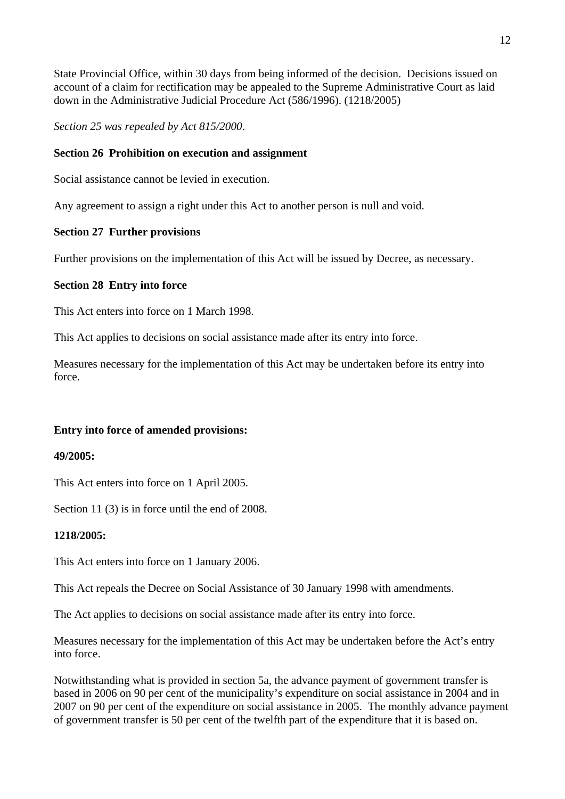State Provincial Office, within 30 days from being informed of the decision. Decisions issued on account of a claim for rectification may be appealed to the Supreme Administrative Court as laid down in the Administrative Judicial Procedure Act (586/1996). (1218/2005)

*Section 25 was repealed by Act 815/2000*.

# **Section 26 Prohibition on execution and assignment**

Social assistance cannot be levied in execution.

Any agreement to assign a right under this Act to another person is null and void.

# **Section 27 Further provisions**

Further provisions on the implementation of this Act will be issued by Decree, as necessary.

# **Section 28 Entry into force**

This Act enters into force on 1 March 1998.

This Act applies to decisions on social assistance made after its entry into force.

Measures necessary for the implementation of this Act may be undertaken before its entry into force.

# **Entry into force of amended provisions:**

#### **49/2005:**

This Act enters into force on 1 April 2005.

Section 11 (3) is in force until the end of 2008.

#### **1218/2005:**

This Act enters into force on 1 January 2006.

This Act repeals the Decree on Social Assistance of 30 January 1998 with amendments.

The Act applies to decisions on social assistance made after its entry into force.

Measures necessary for the implementation of this Act may be undertaken before the Act's entry into force.

Notwithstanding what is provided in section 5a, the advance payment of government transfer is based in 2006 on 90 per cent of the municipality's expenditure on social assistance in 2004 and in 2007 on 90 per cent of the expenditure on social assistance in 2005. The monthly advance payment of government transfer is 50 per cent of the twelfth part of the expenditure that it is based on.